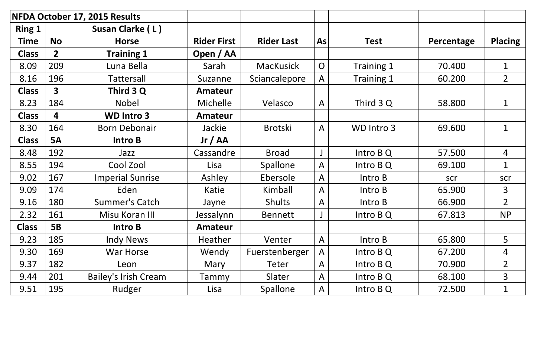| NFDA October 17, 2015 Results |                         |                             |                    |                   |                |             |            |                |
|-------------------------------|-------------------------|-----------------------------|--------------------|-------------------|----------------|-------------|------------|----------------|
| <b>Ring 1</b>                 |                         | Susan Clarke (L)            |                    |                   |                |             |            |                |
| <b>Time</b>                   | <b>No</b>               | <b>Horse</b>                | <b>Rider First</b> | <b>Rider Last</b> | As             | <b>Test</b> | Percentage | <b>Placing</b> |
| <b>Class</b>                  | $\overline{2}$          | <b>Training 1</b>           | Open / AA          |                   |                |             |            |                |
| 8.09                          | 209                     | Luna Bella                  | Sarah              | <b>MacKusick</b>  | $\overline{O}$ | Training 1  | 70.400     | $\mathbf 1$    |
| 8.16                          | 196                     | <b>Tattersall</b>           | Suzanne            | Sciancalepore     | $\mathsf{A}$   | Training 1  | 60.200     | $\overline{2}$ |
| <b>Class</b>                  | $\overline{\mathbf{3}}$ | Third 3 Q                   | <b>Amateur</b>     |                   |                |             |            |                |
| 8.23                          | 184                     | <b>Nobel</b>                | <b>Michelle</b>    | Velasco           | $\mathsf{A}$   | Third 3 Q   | 58.800     | $\mathbf 1$    |
| <b>Class</b>                  | 4                       | <b>WD Intro 3</b>           | <b>Amateur</b>     |                   |                |             |            |                |
| 8.30                          | 164                     | <b>Born Debonair</b>        | Jackie             | <b>Brotski</b>    | $\mathsf{A}$   | WD Intro 3  | 69.600     | $\mathbf{1}$   |
| <b>Class</b>                  | <b>5A</b>               | <b>Intro B</b>              | Jr / AA            |                   |                |             |            |                |
| 8.48                          | 192                     | Jazz                        | Cassandre          | <b>Broad</b>      |                | Intro B Q   | 57.500     | 4              |
| 8.55                          | 194                     | Cool Zool                   | Lisa               | Spallone          | $\mathsf{A}$   | Intro B Q   | 69.100     | $\mathbf{1}$   |
| 9.02                          | 167                     | <b>Imperial Sunrise</b>     | Ashley             | Ebersole          | $\mathsf{A}$   | Intro B     | scr        | scr            |
| 9.09                          | 174                     | Eden                        | Katie              | Kimball           | A              | Intro B     | 65.900     | $\overline{3}$ |
| 9.16                          | 180                     | <b>Summer's Catch</b>       | Jayne              | <b>Shults</b>     | $\mathsf{A}$   | Intro B     | 66.900     | $\overline{2}$ |
| 2.32                          | 161                     | Misu Koran III              | Jessalynn          | <b>Bennett</b>    |                | Intro B Q   | 67.813     | <b>NP</b>      |
| <b>Class</b>                  | <b>5B</b>               | Intro B                     | <b>Amateur</b>     |                   |                |             |            |                |
| 9.23                          | 185                     | <b>Indy News</b>            | Heather            | Venter            | $\mathsf{A}$   | Intro B     | 65.800     | 5              |
| 9.30                          | 169                     | <b>War Horse</b>            | Wendy              | Fuerstenberger    | $\mathsf{A}$   | Intro B Q   | 67.200     | 4              |
| 9.37                          | 182                     | Leon                        | Mary               | <b>Teter</b>      | $\mathsf{A}$   | Intro B Q   | 70.900     | $\overline{2}$ |
| 9.44                          | 201                     | <b>Bailey's Irish Cream</b> | Tammy              | Slater            | $\mathsf{A}$   | Intro B Q   | 68.100     | $\overline{3}$ |
| 9.51                          | 195                     | Rudger                      | Lisa               | Spallone          | A              | Intro B Q   | 72.500     | $\mathbf{1}$   |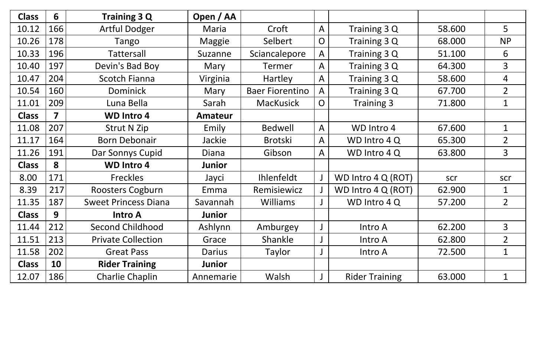| <b>Class</b> | $6\phantom{1}$          | Training 3 Q                | Open / AA      |                        |                              |                       |        |                |
|--------------|-------------------------|-----------------------------|----------------|------------------------|------------------------------|-----------------------|--------|----------------|
| 10.12        | 166                     | <b>Artful Dodger</b>        | Maria          | Croft                  | A                            | Training 3 Q          | 58.600 | 5              |
| 10.26        | 178                     | Tango                       | <b>Maggie</b>  | Selbert                | $\overline{O}$               | Training 3 Q          | 68.000 | <b>NP</b>      |
| 10.33        | 196                     | Tattersall                  | Suzanne        | Sciancalepore          | A                            | Training 3 Q          | 51.100 | 6              |
| 10.40        | 197                     | Devin's Bad Boy             | Mary           | <b>Termer</b>          | A                            | Training 3 Q          | 64.300 | 3              |
| 10.47        | 204                     | <b>Scotch Fianna</b>        | Virginia       | Hartley                | A                            | Training 3 Q          | 58.600 | 4              |
| 10.54        | 160                     | <b>Dominick</b>             | Mary           | <b>Baer Fiorentino</b> | A                            | Training 3 Q          | 67.700 | $\overline{2}$ |
| 11.01        | 209                     | Luna Bella                  | Sarah          | <b>MacKusick</b>       | Training 3<br>$\overline{O}$ |                       | 71.800 | $\mathbf{1}$   |
| <b>Class</b> | $\overline{\mathbf{z}}$ | <b>WD Intro 4</b>           | <b>Amateur</b> |                        |                              |                       |        |                |
| 11.08        | 207                     | <b>Strut N Zip</b>          | Emily          | <b>Bedwell</b>         | A                            | WD Intro 4            | 67.600 | $\mathbf 1$    |
| 11.17        | 164                     | <b>Born Debonair</b>        | Jackie         | <b>Brotski</b>         | $\mathsf{A}$                 | WD Intro 4 Q          | 65.300 | $\overline{2}$ |
| 11.26        | 191                     | Dar Sonnys Cupid            | Diana          | Gibson                 | A                            | WD Intro 4Q           | 63.800 | $\overline{3}$ |
| <b>Class</b> | 8                       | <b>WD Intro 4</b>           | <b>Junior</b>  |                        |                              |                       |        |                |
| 8.00         | 171                     | Freckles                    | Jayci          | Ihlenfeldt             |                              | WD Intro 4 Q (ROT)    | scr    | scr            |
| 8.39         | 217                     | Roosters Cogburn            | Emma           | Remisiewicz            |                              | WD Intro 4 Q (ROT)    | 62.900 | 1              |
| 11.35        | 187                     | <b>Sweet Princess Diana</b> | Savannah       | <b>Williams</b>        |                              | WD Intro 4 Q          | 57.200 | $2^{\circ}$    |
| <b>Class</b> | 9                       | <b>Intro A</b>              | <b>Junior</b>  |                        |                              |                       |        |                |
| 11.44        | 212                     | <b>Second Childhood</b>     | Ashlynn        | Amburgey               |                              | Intro A               | 62.200 | $\overline{3}$ |
| 11.51        | 213                     | <b>Private Collection</b>   | Grace          | Shankle                |                              | Intro A               | 62.800 | $2^{\circ}$    |
| 11.58        | 202                     | <b>Great Pass</b>           | Darius         | Taylor                 |                              | Intro A               | 72.500 | $\mathbf{1}$   |
| <b>Class</b> | 10                      | <b>Rider Training</b>       | <b>Junior</b>  |                        |                              |                       |        |                |
| 12.07        | 186                     | <b>Charlie Chaplin</b>      | Annemarie      | Walsh                  |                              | <b>Rider Training</b> | 63.000 | $\mathbf{1}$   |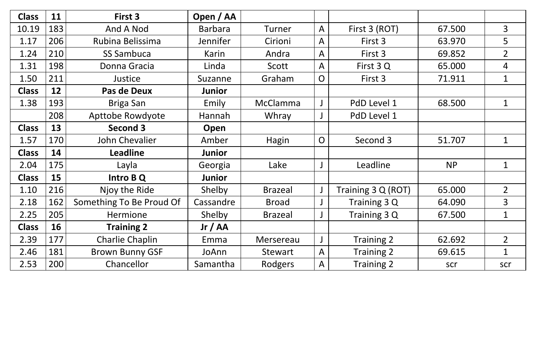| <b>Class</b> | 11  | First 3                  | Open / AA      |                |                |                    |           |                |
|--------------|-----|--------------------------|----------------|----------------|----------------|--------------------|-----------|----------------|
| 10.19        | 183 | And A Nod                | <b>Barbara</b> | Turner         | $\mathsf{A}$   | First 3 (ROT)      | 67.500    | 3              |
| 1.17         | 206 | Rubina Belissima         | Jennifer       | Cirioni        | A              | First 3            | 63.970    | 5              |
| 1.24         | 210 | <b>SS Sambuca</b>        | Karin          | Andra          | A              | First 3            | 69.852    | $\overline{2}$ |
| 1.31         | 198 | Donna Gracia             | Linda          | Scott          | A              | First 3 Q          | 65.000    | $\overline{4}$ |
| 1.50         | 211 | Justice                  | Suzanne        | Graham         | $\overline{O}$ | First 3            | 71.911    | $\mathbf{1}$   |
| <b>Class</b> | 12  | Pas de Deux              | <b>Junior</b>  |                |                |                    |           |                |
| 1.38         | 193 | Briga San                | Emily          | McClamma       |                | PdD Level 1        | 68.500    | $\mathbf{1}$   |
|              | 208 | Apttobe Rowdyote         | Hannah         | Whray          |                | PdD Level 1        |           |                |
| <b>Class</b> | 13  | Second 3                 | Open           |                |                |                    |           |                |
| 1.57         | 170 | John Chevalier           | Amber          | Hagin          | $\overline{O}$ | Second 3           | 51.707    | $\mathbf 1$    |
| <b>Class</b> | 14  | <b>Leadline</b>          | <b>Junior</b>  |                |                |                    |           |                |
| 2.04         | 175 | Layla                    | Georgia        | Lake           |                | Leadline           | <b>NP</b> | $\mathbf 1$    |
| <b>Class</b> | 15  | Intro B Q                | <b>Junior</b>  |                |                |                    |           |                |
| 1.10         | 216 | Njoy the Ride            | Shelby         | <b>Brazeal</b> |                | Training 3 Q (ROT) | 65.000    | $\overline{2}$ |
| 2.18         | 162 | Something To Be Proud Of | Cassandre      | <b>Broad</b>   |                | Training 3 Q       | 64.090    | 3              |
| 2.25         | 205 | Hermione                 | Shelby         | <b>Brazeal</b> |                | Training 3 Q       | 67.500    | $\mathbf 1$    |
| <b>Class</b> | 16  | <b>Training 2</b>        | Jr / AA        |                |                |                    |           |                |
| 2.39         | 177 | <b>Charlie Chaplin</b>   | Emma           | Mersereau      | $\mathsf{J}$   | <b>Training 2</b>  | 62.692    | $\overline{2}$ |
| 2.46         | 181 | <b>Brown Bunny GSF</b>   | JoAnn          | Stewart        | A              | Training 2         | 69.615    | $\mathbf 1$    |
| 2.53         | 200 | Chancellor               | Samantha       | Rodgers        | A              | Training 2         | scr       | scr            |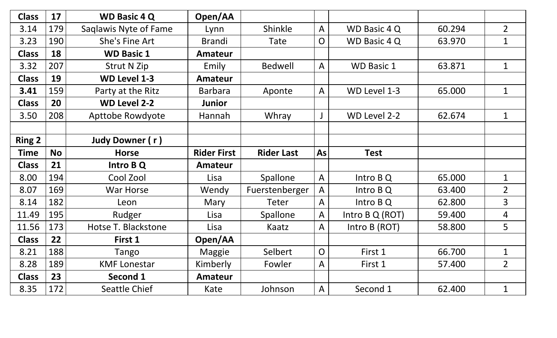| <b>Class</b>  | 17        | <b>WD Basic 4 Q</b>     | Open/AA            |                   |                |                   |        |                |
|---------------|-----------|-------------------------|--------------------|-------------------|----------------|-------------------|--------|----------------|
| 3.14          | 179       | Saglawis Nyte of Fame   | Lynn               | Shinkle<br>A      |                | WD Basic 4 Q      | 60.294 | $\overline{2}$ |
| 3.23          | 190       | <b>She's Fine Art</b>   | <b>Brandi</b>      | Tate              | $\overline{O}$ | WD Basic 4 Q      | 63.970 | $\mathbf 1$    |
| <b>Class</b>  | 18        | <b>WD Basic 1</b>       | <b>Amateur</b>     |                   |                |                   |        |                |
| 3.32          | 207       | <b>Strut N Zip</b>      | Emily              | <b>Bedwell</b>    | $\mathsf{A}$   | <b>WD Basic 1</b> | 63.871 | $\mathbf{1}$   |
| <b>Class</b>  | 19        | <b>WD Level 1-3</b>     | Amateur            |                   |                |                   |        |                |
| 3.41          | 159       | Party at the Ritz       | <b>Barbara</b>     | Aponte            | $\mathsf{A}$   | WD Level 1-3      | 65.000 | $\mathbf{1}$   |
| <b>Class</b>  | 20        | <b>WD Level 2-2</b>     | <b>Junior</b>      |                   |                |                   |        |                |
| 3.50          | 208       | <b>Apttobe Rowdyote</b> | Hannah             | Whray             |                | WD Level 2-2      | 62.674 | $\mathbf 1$    |
|               |           |                         |                    |                   |                |                   |        |                |
| <b>Ring 2</b> |           | Judy Downer (r)         |                    |                   |                |                   |        |                |
| <b>Time</b>   | <b>No</b> | <b>Horse</b>            | <b>Rider First</b> | <b>Rider Last</b> | As             | <b>Test</b>       |        |                |
| <b>Class</b>  | 21        | Intro B Q               | <b>Amateur</b>     |                   |                |                   |        |                |
| 8.00          | 194       | Cool Zool               | Lisa               | Spallone          | $\mathsf{A}$   | Intro B Q         | 65.000 | $\mathbf 1$    |
| 8.07          | 169       | War Horse               | Wendy              | Fuerstenberger    | $\mathsf{A}$   | Intro B Q         | 63.400 | $\overline{2}$ |
| 8.14          | 182       | Leon                    | Mary               | <b>Teter</b>      | A              | Intro B Q         | 62.800 | $\overline{3}$ |
| 11.49         | 195       | Rudger                  | Lisa               | Spallone          | $\mathsf{A}$   | Intro B Q (ROT)   | 59.400 | 4              |
| 11.56         | 173       | Hotse T. Blackstone     | Lisa               | Kaatz             | A              | Intro B (ROT)     | 58.800 | 5              |
| <b>Class</b>  | 22        | First 1                 | Open/AA            |                   |                |                   |        |                |
| 8.21          | 188       | Tango                   | <b>Maggie</b>      | Selbert           | $\overline{O}$ | First 1           | 66.700 | $\mathbf 1$    |
| 8.28          | 189       | <b>KMF Lonestar</b>     | Kimberly           | Fowler            | A              | First 1           | 57.400 | $\overline{2}$ |
| <b>Class</b>  | 23        | Second 1                | <b>Amateur</b>     |                   |                |                   |        |                |
| 8.35          | 172       | Seattle Chief           | Kate               | Johnson           | A              | Second 1          | 62.400 | $\mathbf 1$    |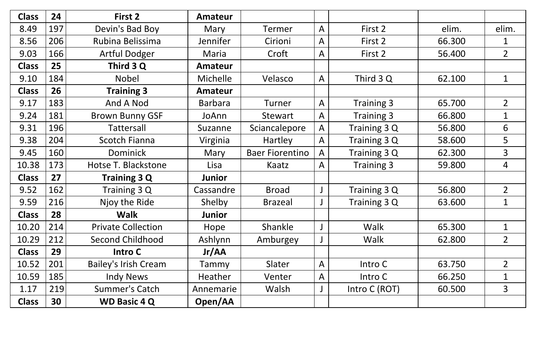| <b>Class</b> | 24  | First 2                   | <b>Amateur</b>  |                                     |                   |                   |        |                |
|--------------|-----|---------------------------|-----------------|-------------------------------------|-------------------|-------------------|--------|----------------|
| 8.49         | 197 | Devin's Bad Boy           | Mary            | Termer                              | A                 | First 2           | elim.  | elim.          |
| 8.56         | 206 | Rubina Belissima          | <b>Jennifer</b> | Cirioni                             | A                 | First 2           | 66.300 | 1              |
| 9.03         | 166 | <b>Artful Dodger</b>      | Maria           | Croft                               | A                 | First 2           | 56.400 | $\overline{2}$ |
| <b>Class</b> | 25  | Third 3 Q                 | <b>Amateur</b>  |                                     |                   |                   |        |                |
| 9.10         | 184 | <b>Nobel</b>              | <b>Michelle</b> | Velasco                             | A                 | Third 3 Q         | 62.100 | $\mathbf 1$    |
| <b>Class</b> | 26  | <b>Training 3</b>         | <b>Amateur</b>  |                                     |                   |                   |        |                |
| 9.17         | 183 | And A Nod                 | <b>Barbara</b>  | Turner                              | A                 | Training 3        | 65.700 | $\overline{2}$ |
| 9.24         | 181 | <b>Brown Bunny GSF</b>    | JoAnn           | Stewart<br>A                        |                   | <b>Training 3</b> | 66.800 | $\mathbf 1$    |
| 9.31         | 196 | Tattersall                | Suzanne         | Sciancalepore                       | Training 3 Q<br>A |                   | 56.800 | 6              |
| 9.38         | 204 | <b>Scotch Fianna</b>      | Virginia        | Training 3 Q<br><b>Hartley</b><br>A |                   |                   | 58.600 | 5              |
| 9.45         | 160 | <b>Dominick</b>           | Mary            | <b>Baer Fiorentino</b><br>A         |                   | Training 3 Q      | 62.300 | $\overline{3}$ |
| 10.38        | 173 | Hotse T. Blackstone       | Lisa            | Kaatz<br>A                          |                   | <b>Training 3</b> | 59.800 | 4              |
| <b>Class</b> | 27  | <b>Training 3 Q</b>       | <b>Junior</b>   |                                     |                   |                   |        |                |
| 9.52         | 162 | Training 3 Q              | Cassandre       | <b>Broad</b>                        |                   | Training 3 Q      | 56.800 | $\overline{2}$ |
| 9.59         | 216 | Njoy the Ride             | Shelby          | <b>Brazeal</b>                      |                   | Training 3 Q      | 63.600 | $\mathbf 1$    |
| <b>Class</b> | 28  | <b>Walk</b>               | <b>Junior</b>   |                                     |                   |                   |        |                |
| 10.20        | 214 | <b>Private Collection</b> | Hope            | Shankle                             |                   | Walk              | 65.300 | $\mathbf 1$    |
| 10.29        | 212 | <b>Second Childhood</b>   | Ashlynn         | Amburgey                            |                   | Walk              | 62.800 | $\overline{2}$ |
| <b>Class</b> | 29  | Intro C                   | Jr/AA           |                                     |                   |                   |        |                |
| 10.52        | 201 | Bailey's Irish Cream      | Tammy           | Slater                              | A                 | Intro C           | 63.750 | $\overline{2}$ |
| 10.59        | 185 | <b>Indy News</b>          | <b>Heather</b>  | Venter                              | A                 | Intro C           | 66.250 | $\mathbf 1$    |
| 1.17         | 219 | Summer's Catch            | Annemarie       | Walsh                               |                   | Intro C (ROT)     | 60.500 | $\overline{3}$ |
| <b>Class</b> | 30  | <b>WD Basic 4 Q</b>       | Open/AA         |                                     |                   |                   |        |                |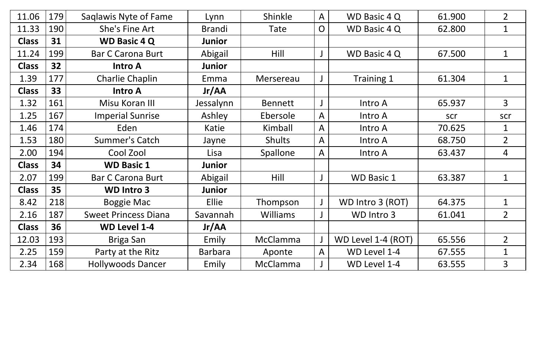| 11.06        | 179 | Saglawis Nyte of Fame       | Lynn           | Shinkle         | WD Basic 4 Q<br>A                     |                    | 61.900 | $\overline{2}$ |
|--------------|-----|-----------------------------|----------------|-----------------|---------------------------------------|--------------------|--------|----------------|
| 11.33        | 190 | She's Fine Art              | <b>Brandi</b>  | Tate            | $\overline{O}$<br><b>WD Basic 4 Q</b> |                    | 62.800 | $\mathbf 1$    |
| <b>Class</b> | 31  | <b>WD Basic 4 Q</b>         | <b>Junior</b>  |                 |                                       |                    |        |                |
| 11.24        | 199 | <b>Bar C Carona Burt</b>    | Abigail        | Hill            |                                       | WD Basic 4 Q       | 67.500 | $\mathbf 1$    |
| <b>Class</b> | 32  | <b>Intro A</b>              | <b>Junior</b>  |                 |                                       |                    |        |                |
| 1.39         | 177 | Charlie Chaplin             | Emma           | Mersereau       |                                       | Training 1         | 61.304 | $\mathbf{1}$   |
| <b>Class</b> | 33  | <b>Intro A</b>              | Jr/AA          |                 |                                       |                    |        |                |
| 1.32         | 161 | Misu Koran III              | Jessalynn      | <b>Bennett</b>  |                                       | Intro A            | 65.937 | $\overline{3}$ |
| 1.25         | 167 | <b>Imperial Sunrise</b>     | Ashley         | Ebersole        | $\mathsf{A}$                          | Intro A            | scr    | scr            |
| 1.46         | 174 | Eden                        | Katie          | Kimball         | $\mathsf{A}$                          | Intro A            | 70.625 | $\mathbf{1}$   |
| 1.53         | 180 | <b>Summer's Catch</b>       | Jayne          | <b>Shults</b>   | $\mathsf{A}$                          | Intro A            | 68.750 | $\overline{2}$ |
| 2.00         | 194 | Cool Zool                   | Lisa           | Spallone        | A                                     | Intro A            | 63.437 | $\overline{4}$ |
| <b>Class</b> | 34  | <b>WD Basic 1</b>           | Junior         |                 |                                       |                    |        |                |
| 2.07         | 199 | <b>Bar C Carona Burt</b>    | Abigail        | <b>Hill</b>     |                                       | <b>WD Basic 1</b>  | 63.387 | $\mathbf 1$    |
| <b>Class</b> | 35  | <b>WD Intro 3</b>           | <b>Junior</b>  |                 |                                       |                    |        |                |
| 8.42         | 218 | <b>Boggie Mac</b>           | Ellie          | Thompson        |                                       | WD Intro 3 (ROT)   | 64.375 | $\mathbf 1$    |
| 2.16         | 187 | <b>Sweet Princess Diana</b> | Savannah       | <b>Williams</b> |                                       | WD Intro 3         | 61.041 | $\overline{2}$ |
| <b>Class</b> | 36  | <b>WD Level 1-4</b>         | Jr/AA          |                 |                                       |                    |        |                |
| 12.03        | 193 | Briga San                   | Emily          | McClamma        |                                       | WD Level 1-4 (ROT) | 65.556 | $\overline{2}$ |
| 2.25         | 159 | Party at the Ritz           | <b>Barbara</b> | Aponte          | $\mathsf{A}$                          | WD Level 1-4       | 67.555 | $\mathbf 1$    |
| 2.34         | 168 | <b>Hollywoods Dancer</b>    | Emily          | McClamma        |                                       | WD Level 1-4       | 63.555 | 3              |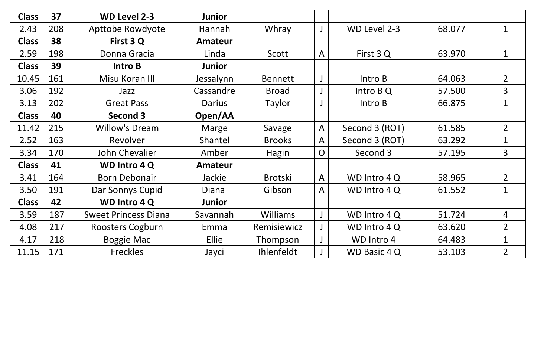| <b>Class</b> | 37  | <b>WD Level 2-3</b>         | <b>Junior</b>  |                 |                |                     |        |                |
|--------------|-----|-----------------------------|----------------|-----------------|----------------|---------------------|--------|----------------|
| 2.43         | 208 | Apttobe Rowdyote            | Hannah         | Whray           |                | WD Level 2-3        | 68.077 | $\mathbf 1$    |
| <b>Class</b> | 38  | First 3 Q                   | <b>Amateur</b> |                 |                |                     |        |                |
| 2.59         | 198 | Donna Gracia                | Linda          | Scott           | A              | First 3 Q           | 63.970 | $\mathbf 1$    |
| <b>Class</b> | 39  | Intro B                     | <b>Junior</b>  |                 |                |                     |        |                |
| 10.45        | 161 | Misu Koran III              | Jessalynn      | <b>Bennett</b>  |                | Intro B             | 64.063 | $\overline{2}$ |
| 3.06         | 192 | Jazz                        | Cassandre      | <b>Broad</b>    |                | Intro B Q           | 57.500 | $\overline{3}$ |
| 3.13         | 202 | <b>Great Pass</b>           | <b>Darius</b>  | Taylor          |                | Intro B             | 66.875 | $\mathbf{1}$   |
| <b>Class</b> | 40  | Second 3                    | Open/AA        |                 |                |                     |        |                |
| 11.42        | 215 | <b>Willow's Dream</b>       | <b>Marge</b>   | Savage          | $\mathsf{A}$   | Second 3 (ROT)      | 61.585 | $\overline{2}$ |
| 2.52         | 163 | Revolver                    | Shantel        | <b>Brooks</b>   | A              | Second 3 (ROT)      | 63.292 | $\mathbf 1$    |
| 3.34         | 170 | <b>John Chevalier</b>       | Amber          | Hagin           | $\overline{O}$ | Second 3            | 57.195 | $\overline{3}$ |
| <b>Class</b> | 41  | <b>WD Intro 4 Q</b>         | <b>Amateur</b> |                 |                |                     |        |                |
| 3.41         | 164 | <b>Born Debonair</b>        | Jackie         | <b>Brotski</b>  | A              | WD Intro 4 Q        | 58.965 | $\overline{2}$ |
| 3.50         | 191 | Dar Sonnys Cupid            | Diana          | Gibson          | $\mathsf{A}$   | WD Intro 4 Q        | 61.552 | $\mathbf 1$    |
| <b>Class</b> | 42  | <b>WD Intro 4 Q</b>         | <b>Junior</b>  |                 |                |                     |        |                |
| 3.59         | 187 | <b>Sweet Princess Diana</b> | Savannah       | <b>Williams</b> |                | WD Intro 4 Q        | 51.724 | 4              |
| 4.08         | 217 | Roosters Cogburn            | Emma           | Remisiewicz     |                | WD Intro 4 Q        | 63.620 | $\overline{2}$ |
| 4.17         | 218 | <b>Boggie Mac</b>           | Ellie          | Thompson        |                | WD Intro 4          | 64.483 | $\mathbf{1}$   |
| 11.15        | 171 | <b>Freckles</b>             | Jayci          | Ihlenfeldt      |                | <b>WD Basic 4 Q</b> | 53.103 | $\overline{2}$ |